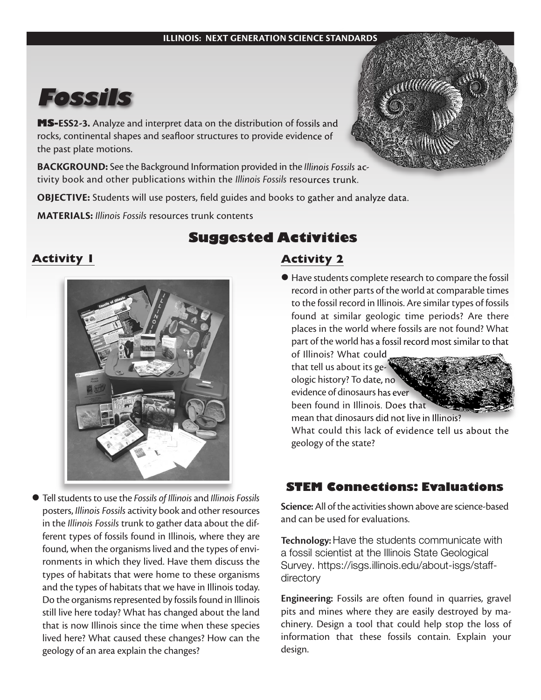#### **ILLINOIS: NEXT GENERATION SCIENCE STANDARDS**



**MS-ESS2-3.** Analyze and interpret data on the distribution of fossils and rocks, continental shapes and seafloor structures to provide evidence of the past plate motions.

**BACKGROUND:** See the Background Information provided in the *Illinois Fossils* activity book and other publications within the *Illinois Fossils* resources trunk.

**OBJECTIVE:** Students will use posters, field guides and books to gather and analyze data.

**MATERIALS:** *Illinois Fossils* resources trunk contents

### **Activity 1**



l Tell students to use the *Fossils of Illinois* and *Illinois Fossils* posters, *Illinois Fossils* activity book and other resources in the *Illinois Fossils* trunk to gather data about the different types of fossils found in Illinois, where they are found, when the organisms lived and the types of environments in which they lived. Have them discuss the types of habitats that were home to these organisms and the types of habitats that we have in Illinois today. Do the organisms represented by fossils found in Illinois still live here today? What has changed about the land that is now Illinois since the time when these species lived here? What caused these changes? How can the geology of an area explain the changes?

# **Suggested Activities**

### **Activity 2**

l Have students complete research to compare the fossil record in other parts of the world at comparable times to the fossil record in Illinois. Are similar types of fossils found at similar geologic time periods? Are there places in the world where fossils are not found? What part of the world has a fossil record most similar to that of Illinois? What could

that tell us about its geologic history? To date, no evidence of dinosaurs has ever been found in Illinois. Does that



mean that dinosaurs did not live in Illinois? What could this lack of evidence tell us about the geology of the state?

#### **STEM Connections: Evaluations**

**Science:**All of the activities shown above are science-based and can be used for evaluations.

**Technology:** Have the students communicate with a fossil scientist at the Illinois State Geological [Survey. https://isgs.illinois.edu/about-isgs/staff](http://www.isgs.uiuc.edu/?q=ask-expert)directory

**Engineering:** Fossils are often found in quarries, gravel pits and mines where they are easily destroyed by machinery. Design a tool that could help stop the loss of information that these fossils contain. Explain your design.